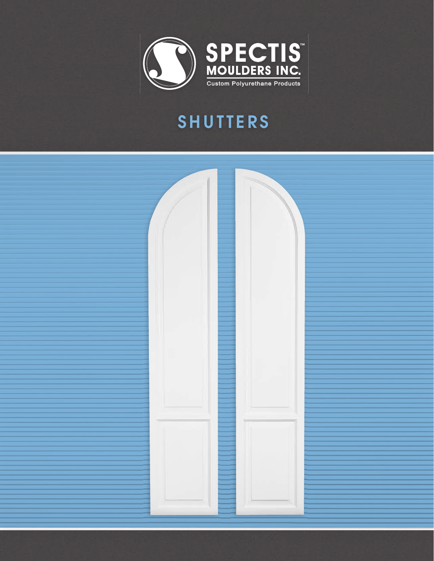

## SHUTTERS

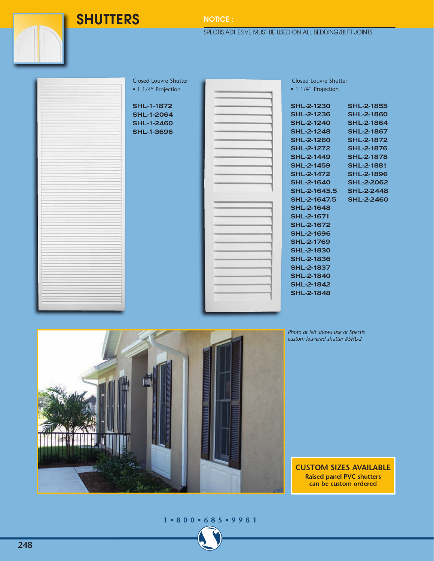**SHUTTERS** NOTICE :

SPECTIS ADHESIVE MUST BE USED ON ALL BEDDING/BUTT JOINTS.

Closed Louvre Shutter • 1 1/4" Projection

**SHL-1-1872 SHL-1-2064 SHL-1-2460 SHL-1-3696**

| ٠              |  |  |
|----------------|--|--|
|                |  |  |
| i              |  |  |
|                |  |  |
| ï<br>'n        |  |  |
| ٠              |  |  |
|                |  |  |
|                |  |  |
|                |  |  |
|                |  |  |
|                |  |  |
| <b>COMPANY</b> |  |  |
|                |  |  |
|                |  |  |
|                |  |  |
|                |  |  |
|                |  |  |
|                |  |  |
|                |  |  |
|                |  |  |
|                |  |  |
|                |  |  |
|                |  |  |

Closed Louvre Shutter • 1 1/4" Projection

| SHL-2-1230        | <b>SHL-2-1855</b> |
|-------------------|-------------------|
| <b>SHL-2-1236</b> | <b>SHL-2-1860</b> |
| SHL-2-1240        | SHL-2-1864        |
| SHL-2-1248        | <b>SHL-2-1867</b> |
| <b>SHL-2-1260</b> | SHL-2-1872        |
| SHL-2-1272        | SHL-2-1876        |
| SHL-2-1449        | <b>SHL-2-1878</b> |
| SHL-2-1459        | SHL-2-1881        |
| SHL-2-1472        | <b>SHL-2-1896</b> |
| <b>SHL-2-1640</b> | <b>SHL-2-2062</b> |
| SHL-2-1645.5      | <b>SHL-2-2448</b> |
| SHL-2-1647.5      | <b>SHL-2-2460</b> |
| <b>SHL-2-1648</b> |                   |
| SHL-2-1671        |                   |
| <b>SHL-2-1672</b> |                   |
| SHL-2-1696        |                   |
| SHL-2-1769        |                   |
| SHL-2-1830        |                   |
| SHL-2-1836        |                   |
| SHL-2-1837        |                   |
| SHL-2-1840        |                   |
| <b>SHL-2-1842</b> |                   |
| SHL-2-1848        |                   |

*Photo at left shows use of Spectis custom louvered shutter #SHL-2*

**CUSTOM SIZES AVAILABLE Raised panel PVC shutters can be custom ordered**

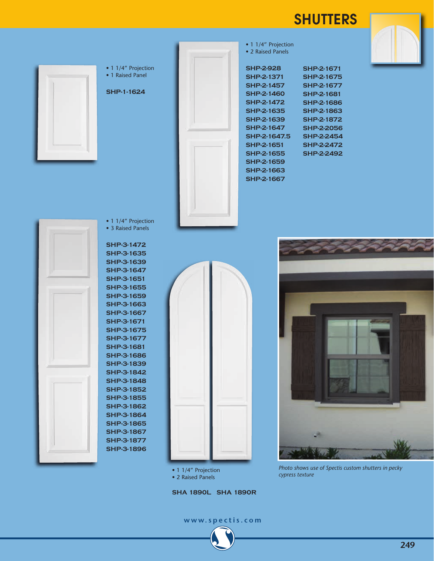## **SHUTTERS**



**SHA 1890L SHA 1890R**

**www.spectis.com**